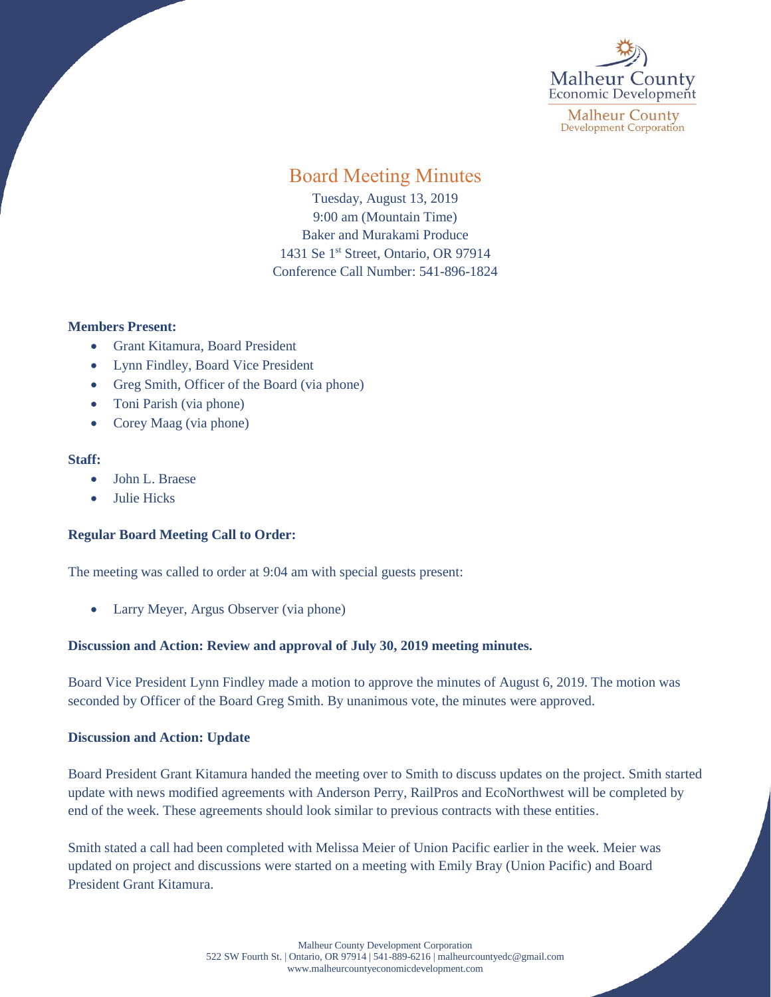

**Malheur County Development Corporation** 

# Board Meeting Minutes

Tuesday, August 13, 2019 9:00 am (Mountain Time) Baker and Murakami Produce 1431 Se 1<sup>st</sup> Street, Ontario, OR 97914 Conference Call Number: 541-896-1824

#### **Members Present:**

- Grant Kitamura, Board President
- Lynn Findley, Board Vice President
- Greg Smith, Officer of the Board (via phone)
- Toni Parish (via phone)
- Corey Maag (via phone)

#### **Staff:**

- John L. Braese
- Julie Hicks

## **Regular Board Meeting Call to Order:**

The meeting was called to order at 9:04 am with special guests present:

• Larry Meyer, Argus Observer (via phone)

## **Discussion and Action: Review and approval of July 30, 2019 meeting minutes.**

Board Vice President Lynn Findley made a motion to approve the minutes of August 6, 2019. The motion was seconded by Officer of the Board Greg Smith. By unanimous vote, the minutes were approved.

## **Discussion and Action: Update**

Board President Grant Kitamura handed the meeting over to Smith to discuss updates on the project. Smith started update with news modified agreements with Anderson Perry, RailPros and EcoNorthwest will be completed by end of the week. These agreements should look similar to previous contracts with these entities.

Smith stated a call had been completed with Melissa Meier of Union Pacific earlier in the week. Meier was updated on project and discussions were started on a meeting with Emily Bray (Union Pacific) and Board President Grant Kitamura.